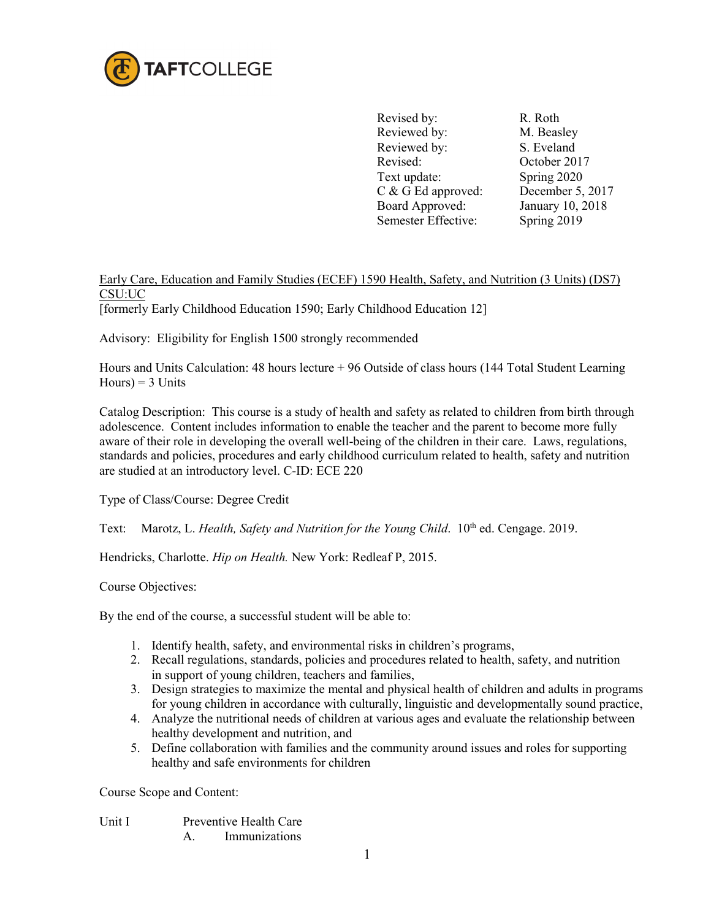

Revised by: R. Roth Reviewed by: M. Beasley Reviewed by: S. Eveland Revised: October 2017 Text update: Spring 2020<br>
C & G Ed approved: December 5, 2017  $C & G$  Ed approved: Board Approved: Semester Effective:

January 10, 2018 Spring 2019

## Early Care, Education and Family Studies (ECEF) 1590 Health, Safety, and Nutrition (3 Units) (DS7) CSU:UC

[formerly Early Childhood Education 1590; Early Childhood Education 12]

Advisory: Eligibility for English 1500 strongly recommended

Hours and Units Calculation: 48 hours lecture + 96 Outside of class hours (144 Total Student Learning  $Hours$ ) = 3 Units

Catalog Description: This course is a study of health and safety as related to children from birth through adolescence. Content includes information to enable the teacher and the parent to become more fully aware of their role in developing the overall well-being of the children in their care. Laws, regulations, standards and policies, procedures and early childhood curriculum related to health, safety and nutrition are studied at an introductory level. C-ID: ECE 220

Type of Class/Course: Degree Credit

Text: Marotz, L. *Health, Safety and Nutrition for the Young Child.* 10<sup>th</sup> ed. Cengage. 2019.

Hendricks, Charlotte. *Hip on Health.* New York: Redleaf P, 2015.

Course Objectives:

By the end of the course, a successful student will be able to:

- 1. Identify health, safety, and environmental risks in children's programs,
- 2. Recall regulations, standards, policies and procedures related to health, safety, and nutrition in support of young children, teachers and families,
- 3. Design strategies to maximize the mental and physical health of children and adults in programs for young children in accordance with culturally, linguistic and developmentally sound practice,
- 4. Analyze the nutritional needs of children at various ages and evaluate the relationship between healthy development and nutrition, and
- 5. Define collaboration with families and the community around issues and roles for supporting healthy and safe environments for children

Course Scope and Content:

- Unit I Preventive Health Care
	- A. Immunizations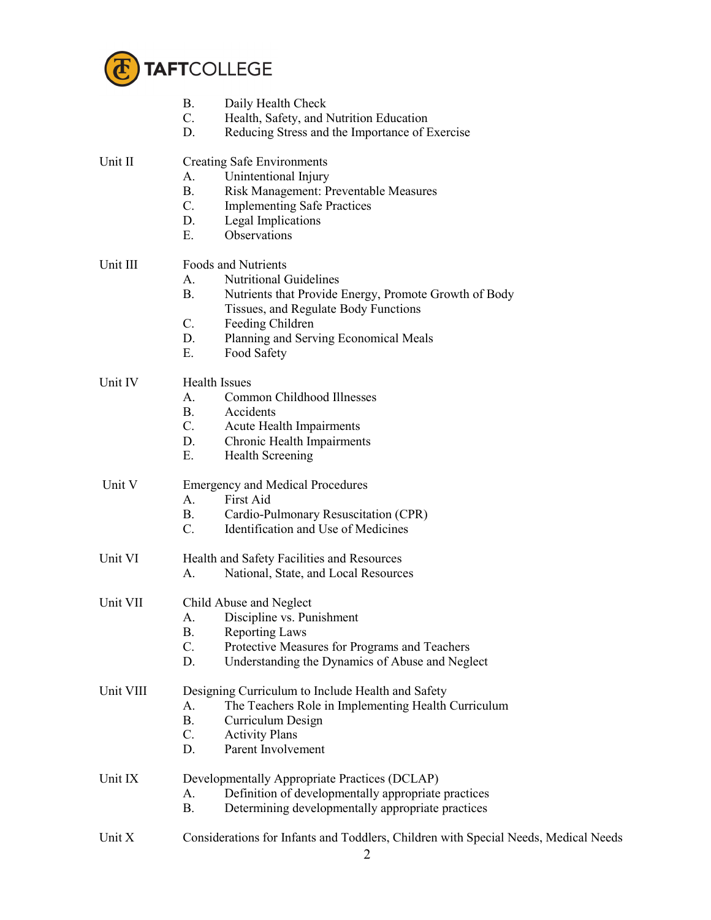

|           | <b>B.</b><br>Daily Health Check<br>$C_{\cdot}$<br>Health, Safety, and Nutrition Education<br>D.<br>Reducing Stress and the Importance of Exercise                                                                                                                             |
|-----------|-------------------------------------------------------------------------------------------------------------------------------------------------------------------------------------------------------------------------------------------------------------------------------|
| Unit II   | <b>Creating Safe Environments</b><br>Unintentional Injury<br>A.<br><b>B.</b><br>Risk Management: Preventable Measures<br>$C_{\cdot}$<br><b>Implementing Safe Practices</b><br>D.<br>Legal Implications<br>Observations<br>Ε.                                                  |
| Unit III  | <b>Foods and Nutrients</b><br><b>Nutritional Guidelines</b><br>A.<br><b>B.</b><br>Nutrients that Provide Energy, Promote Growth of Body<br>Tissues, and Regulate Body Functions<br>C.<br>Feeding Children<br>D.<br>Planning and Serving Economical Meals<br>Ε.<br>Food Safety |
| Unit IV   | <b>Health Issues</b><br>Common Childhood Illnesses<br>A.<br><b>B.</b><br>Accidents<br>$C_{\cdot}$<br>Acute Health Impairments<br>D.<br>Chronic Health Impairments<br>Ε.<br><b>Health Screening</b>                                                                            |
| Unit V    | <b>Emergency and Medical Procedures</b><br>First Aid<br>A.<br><b>B.</b><br>Cardio-Pulmonary Resuscitation (CPR)<br>$C_{\cdot}$<br>Identification and Use of Medicines                                                                                                         |
| Unit VI   | Health and Safety Facilities and Resources<br>National, State, and Local Resources<br>A.                                                                                                                                                                                      |
| Unit VII  | Child Abuse and Neglect<br>Discipline vs. Punishment<br>A.<br><b>B.</b><br><b>Reporting Laws</b><br>C.<br>Protective Measures for Programs and Teachers<br>D.<br>Understanding the Dynamics of Abuse and Neglect                                                              |
| Unit VIII | Designing Curriculum to Include Health and Safety<br>The Teachers Role in Implementing Health Curriculum<br>A.<br><b>B.</b><br>Curriculum Design<br>C.<br><b>Activity Plans</b><br>D.<br>Parent Involvement                                                                   |
| Unit IX   | Developmentally Appropriate Practices (DCLAP)<br>Definition of developmentally appropriate practices<br>A.<br><b>B.</b><br>Determining developmentally appropriate practices                                                                                                  |
| Unit X    | Considerations for Infants and Toddlers, Children with Special Needs, Medical Needs                                                                                                                                                                                           |

2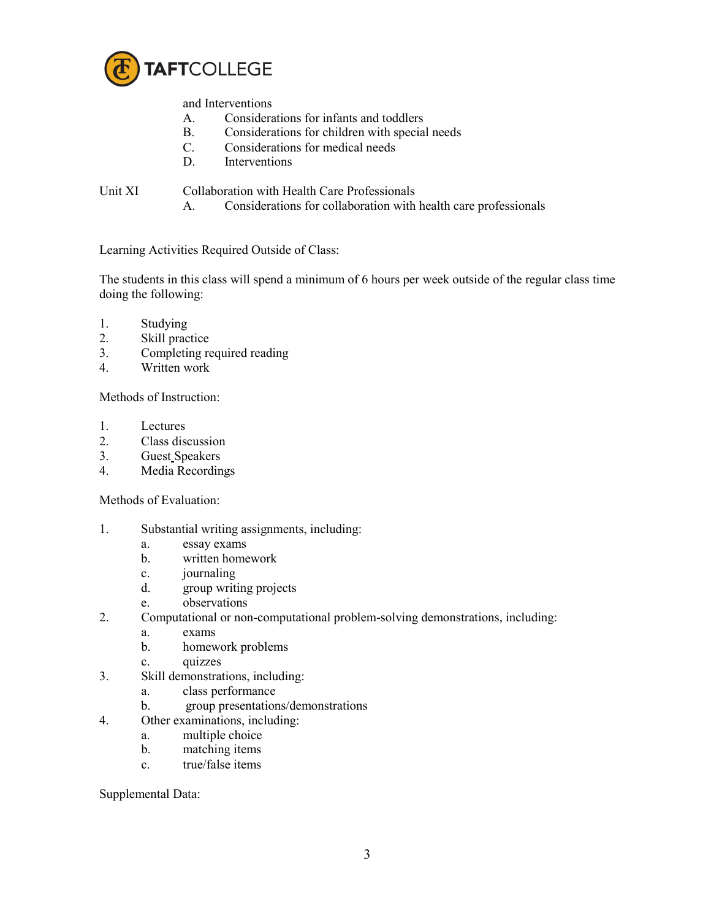

and Interventions

- A. Considerations for infants and toddlers
- B. Considerations for children with special needs<br>C. Considerations for medical needs
- Considerations for medical needs
- D. Interventions

Unit XI Collaboration with Health Care Professionals

A. Considerations for collaboration with health care professionals

Learning Activities Required Outside of Class:

The students in this class will spend a minimum of 6 hours per week outside of the regular class time doing the following:

- 1. Studying
- 2. Skill practice
- 3. Completing required reading
- 4. Written work

Methods of Instruction:

- 1. Lectures
- 2. Class discussion
- 3. Guest Speakers
- 4. Media Recordings

Methods of Evaluation:

- 1. Substantial writing assignments, including:
	- a. essay exams
	- b. written homework
	- c. journaling
	- d. group writing projects
	- e. observations
- 2. Computational or non-computational problem-solving demonstrations, including:
	- a. exams
	- b. homework problems
	- c. quizzes
- 3. Skill demonstrations, including:
	- a. class performance
	- b. group presentations/demonstrations
- 4. Other examinations, including:
	- a. multiple choice
	- b. matching items
	- c. true/false items

Supplemental Data: